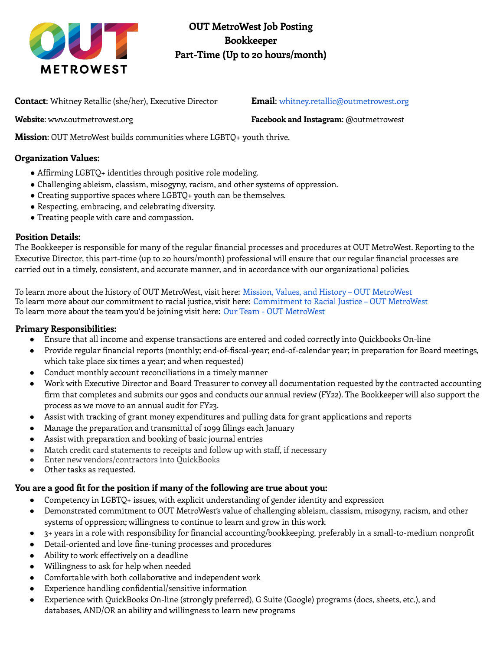

**OUT MetroWest Job Posting Bookkeeper Part-Time (Up to 20 hours/month)**

**Contact**: Whitney Retallic (she/her), Executive Director **Email**: whitney.retallic@outmetrowest.org

**Website**: www.outmetrowest.org **Facebook and Instagram**: @outmetrowest

**Mission**: OUT MetroWest builds communities where LGBTQ+ youth thrive.

### **Organization Values:**

- Affirming LGBTQ+ identities through positive role modeling.
- Challenging ableism, classism, misogyny, racism, and other systems of oppression.
- Creating supportive spaces where LGBTQ+ youth can be themselves.
- Respecting, embracing, and celebrating diversity.
- Treating people with care and compassion.

#### **Position Details:**

The Bookkeeper is responsible for many of the regular financial processes and procedures at OUT MetroWest. Reporting to the Executive Director, this part-time (up to 20 hours/month) professional will ensure that our regular financial processes are carried out in a timely, consistent, and accurate manner, and in accordance with our organizational policies.

To learn more about the history of OUT MetroWest, visit here: Mission, Values, and History – OUT MetroWest To learn more about our commitment to racial justice, visit here: Commitment to Racial Justice – OUT MetroWest To learn more about the team you'd be joining visit here: Our Team - OUT MetroWest

#### **Primary Responsibilities:**

- Ensure that all income and expense transactions are entered and coded correctly into Quickbooks On-line
- Provide regular financial reports (monthly; end-of-fiscal-year; end-of-calendar year; in preparation for Board meetings, which take place six times a year; and when requested)
- Conduct monthly account reconciliations in a timely manner
- Work with Executive Director and Board Treasurer to convey all documentation requested by the contracted accounting firm that completes and submits our 990s and conducts our annual review (FY22). The Bookkeeper will also support the process as we move to an annual audit for FY23.
- Assist with tracking of grant money expenditures and pulling data for grant applications and reports
- Manage the preparation and transmittal of 1099 filings each January
- Assist with preparation and booking of basic journal entries
- Match credit card statements to receipts and follow up with staff, if necessary
- Enter new vendors/contractors into QuickBooks
- Other tasks as requested.

#### **You are a good fit for the position if many of the following are true about you:**

- Competency in LGBTQ+ issues, with explicit understanding of gender identity and expression
- Demonstrated commitment to OUT MetroWest's value of challenging ableism, classism, misogyny, racism, and other systems of oppression; willingness to continue to learn and grow in this work
- 3+ years in a role with responsibility for financial accounting/bookkeeping, preferably in a small-to-medium nonprofit
- Detail-oriented and love fine-tuning processes and procedures
- Ability to work effectively on a deadline
- Willingness to ask for help when needed
- Comfortable with both collaborative and independent work
- Experience handling confidential/sensitive information
- Experience with QuickBooks On-line (strongly preferred), G Suite (Google) programs (docs, sheets, etc.), and databases, AND/OR an ability and willingness to learn new programs